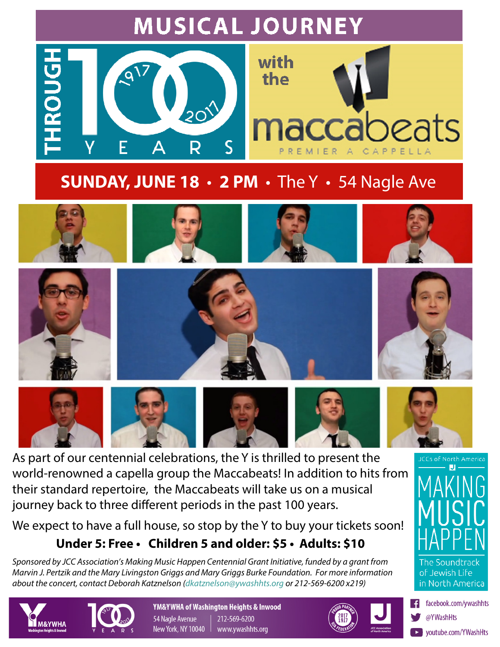## **MUSICAL JOURNEY**





## **SUNDAY, JUNE 18** • **2 PM** • The Y • 54 Nagle Ave











As part of our centennial celebrations, the Y is thrilled to present the world-renowned a capella group the Maccabeats! In addition to hits from their standard repertoire, the Maccabeats will take us on a musical journey back to three different periods in the past 100 years.

We expect to have a full house, so stop by the Y to buy your tickets soon! **Under 5: Free • Children 5 and older: \$5 • Adults: \$10** 

Sponsored by JCC Association's Making Music Happen Centennial Grant Initiative, funded by a grant from Marvin J. Pertzik and the Mary Livingston Griggs and Mary Griggs Burke Foundation. For more information about the concert, contact Deborah Katznelson (dkatznelson@ywashhts.org or 212-569-6200 x219)





YM&YWHA of Washington Heights & Inwood 54 Nagle Avenue 212-569-6200 New York, NY 10040 www.ywashhts.org





in North America

facebook.com/ywashhts @YWashHts

> youtube.com/YWashHts